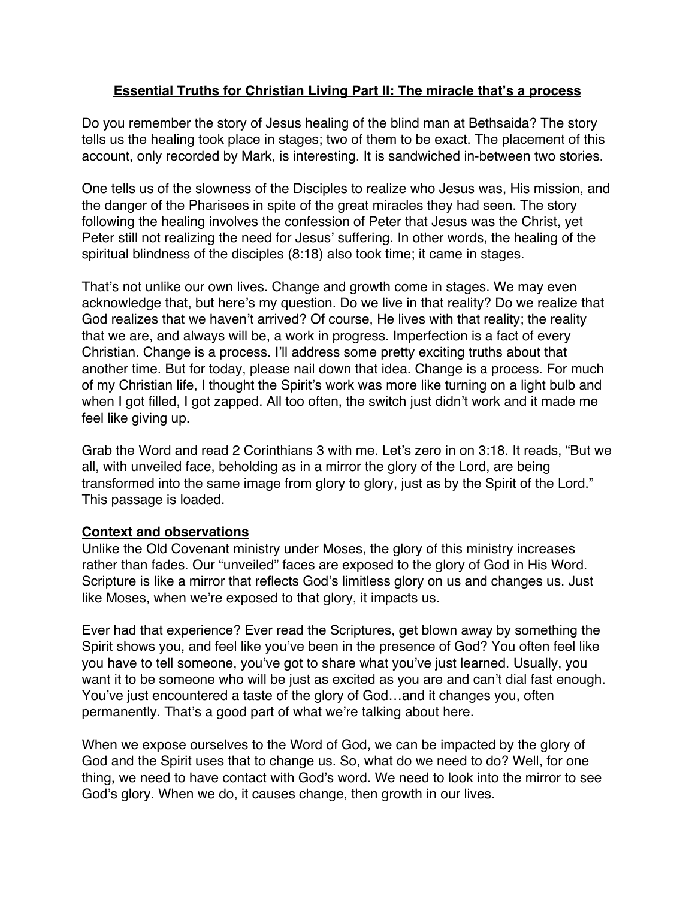## **Essential Truths for Christian Living Part II: The miracle that's a process**

Do you remember the story of Jesus healing of the blind man at Bethsaida? The story tells us the healing took place in stages; two of them to be exact. The placement of this account, only recorded by Mark, is interesting. It is sandwiched in-between two stories.

One tells us of the slowness of the Disciples to realize who Jesus was, His mission, and the danger of the Pharisees in spite of the great miracles they had seen. The story following the healing involves the confession of Peter that Jesus was the Christ, yet Peter still not realizing the need for Jesus' suffering. In other words, the healing of the spiritual blindness of the disciples (8:18) also took time; it came in stages.

That's not unlike our own lives. Change and growth come in stages. We may even acknowledge that, but here's my question. Do we live in that reality? Do we realize that God realizes that we haven't arrived? Of course, He lives with that reality; the reality that we are, and always will be, a work in progress. Imperfection is a fact of every Christian. Change is a process. I'll address some pretty exciting truths about that another time. But for today, please nail down that idea. Change is a process. For much of my Christian life, I thought the Spirit's work was more like turning on a light bulb and when I got filled, I got zapped. All too often, the switch just didn't work and it made me feel like giving up.

Grab the Word and read 2 Corinthians 3 with me. Let's zero in on 3:18. It reads, "But we all, with unveiled face, beholding as in a mirror the glory of the Lord, are being transformed into the same image from glory to glory, just as by the Spirit of the Lord." This passage is loaded.

## **Context and observations**

Unlike the Old Covenant ministry under Moses, the glory of this ministry increases rather than fades. Our "unveiled" faces are exposed to the glory of God in His Word. Scripture is like a mirror that reflects God's limitless glory on us and changes us. Just like Moses, when we're exposed to that glory, it impacts us.

Ever had that experience? Ever read the Scriptures, get blown away by something the Spirit shows you, and feel like you've been in the presence of God? You often feel like you have to tell someone, you've got to share what you've just learned. Usually, you want it to be someone who will be just as excited as you are and can't dial fast enough. You've just encountered a taste of the glory of God…and it changes you, often permanently. That's a good part of what we're talking about here.

When we expose ourselves to the Word of God, we can be impacted by the glory of God and the Spirit uses that to change us. So, what do we need to do? Well, for one thing, we need to have contact with God's word. We need to look into the mirror to see God's glory. When we do, it causes change, then growth in our lives.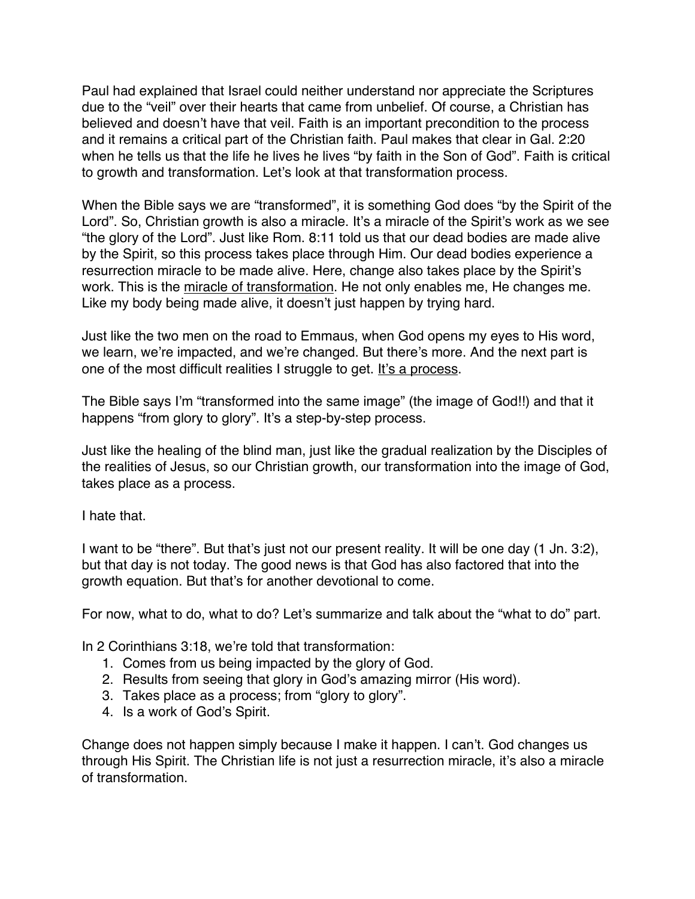Paul had explained that Israel could neither understand nor appreciate the Scriptures due to the "veil" over their hearts that came from unbelief. Of course, a Christian has believed and doesn't have that veil. Faith is an important precondition to the process and it remains a critical part of the Christian faith. Paul makes that clear in Gal. 2:20 when he tells us that the life he lives he lives "by faith in the Son of God". Faith is critical to growth and transformation. Let's look at that transformation process.

When the Bible says we are "transformed", it is something God does "by the Spirit of the Lord". So, Christian growth is also a miracle. It's a miracle of the Spirit's work as we see "the glory of the Lord". Just like Rom. 8:11 told us that our dead bodies are made alive by the Spirit, so this process takes place through Him. Our dead bodies experience a resurrection miracle to be made alive. Here, change also takes place by the Spirit's work. This is the miracle of transformation. He not only enables me, He changes me. Like my body being made alive, it doesn't just happen by trying hard.

Just like the two men on the road to Emmaus, when God opens my eyes to His word, we learn, we're impacted, and we're changed. But there's more. And the next part is one of the most difficult realities I struggle to get. It's a process.

The Bible says I'm "transformed into the same image" (the image of God!!) and that it happens "from glory to glory". It's a step-by-step process.

Just like the healing of the blind man, just like the gradual realization by the Disciples of the realities of Jesus, so our Christian growth, our transformation into the image of God, takes place as a process.

I hate that.

I want to be "there". But that's just not our present reality. It will be one day (1 Jn. 3:2), but that day is not today. The good news is that God has also factored that into the growth equation. But that's for another devotional to come.

For now, what to do, what to do? Let's summarize and talk about the "what to do" part.

In 2 Corinthians 3:18, we're told that transformation:

- 1. Comes from us being impacted by the glory of God.
- 2. Results from seeing that glory in God's amazing mirror (His word).
- 3. Takes place as a process; from "glory to glory".
- 4. Is a work of God's Spirit.

Change does not happen simply because I make it happen. I can't. God changes us through His Spirit. The Christian life is not just a resurrection miracle, it's also a miracle of transformation.